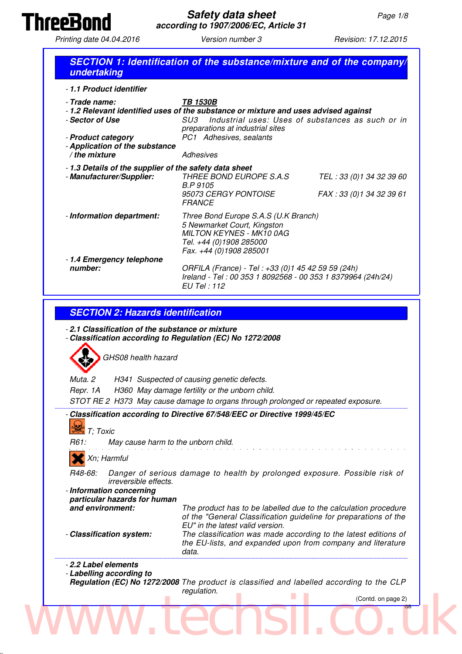

Printing date 04.04.2016 <br>
Version number 3 Revision: 17.12.2015

| - 1.1 Product identifier                                                                                       |                                                                                                                                                                             |
|----------------------------------------------------------------------------------------------------------------|-----------------------------------------------------------------------------------------------------------------------------------------------------------------------------|
| - Trade name:                                                                                                  | <b>TB 1530B</b><br>-1.2 Relevant identified uses of the substance or mixture and uses advised against                                                                       |
| - Sector of Use                                                                                                | Industrial uses: Uses of substances as such or in<br>SU3                                                                                                                    |
| - Product category<br>- Application of the substance                                                           | preparations at industrial sites<br>PC1 Adhesives, sealants                                                                                                                 |
| $/$ the mixture                                                                                                | <b>Adhesives</b>                                                                                                                                                            |
| - 1.3 Details of the supplier of the safety data sheet                                                         |                                                                                                                                                                             |
| - Manufacturer/Supplier:                                                                                       | THREE BOND EUROPE S.A.S<br>TEL: 33 (0)1 34 32 39 60<br><b>B.P 9105</b><br>95073 CERGY PONTOISE<br>FAX: 33 (0) 1 34 32 39 61                                                 |
|                                                                                                                | <b>FRANCE</b>                                                                                                                                                               |
| - Information department:                                                                                      | Three Bond Europe S.A.S (U.K Branch)<br>5 Newmarket Court, Kingston<br><b>MILTON KEYNES - MK10 0AG</b><br>Tel. +44 (0)1908 285000<br>Fax. +44 (0)1908 285001                |
| - 1.4 Emergency telephone<br>number:                                                                           | ORFILA (France) - Tel: +33 (0)1 45 42 59 59 (24h)<br>Ireland - Tel: 00 353 1 8092568 - 00 353 1 8379964 (24h/24)<br>EU Tel: 112                                             |
| GHS08 health hazard                                                                                            | H341 Suspected of causing genetic defects.                                                                                                                                  |
| <b>SECTION 2: Hazards identification</b><br>Muta. 2<br>Repr. 1A                                                | H360 May damage fertility or the unborn child.                                                                                                                              |
| - 2.1 Classification of the substance or mixture<br>- Classification according to Regulation (EC) No 1272/2008 | STOT RE 2 H373 May cause damage to organs through prolonged or repeated exposure.                                                                                           |
| $\frac{1}{2}$ T; Toxic                                                                                         | - Classification according to Directive 67/548/EEC or Directive 1999/45/EC                                                                                                  |
| May cause harm to the unborn child.<br>R61:                                                                    |                                                                                                                                                                             |
| Xn; Harmful                                                                                                    |                                                                                                                                                                             |
| R48-68:<br>irreversible effects.                                                                               | Danger of serious damage to health by prolonged exposure. Possible risk of                                                                                                  |
|                                                                                                                |                                                                                                                                                                             |
| particular hazards for human<br>and environment:                                                               | The product has to be labelled due to the calculation procedure<br>of the "General Classification guideline for preparations of the                                         |
| - Information concerning<br>- Classification system:                                                           | EU" in the latest valid version.<br>The classification was made according to the latest editions of<br>the EU-lists, and expanded upon from company and literature<br>data. |
|                                                                                                                |                                                                                                                                                                             |
| - 2.2 Label elements<br>- Labelling according to                                                               | Regulation (EC) No 1272/2008 The product is classified and labelled according to the CLP<br>regulation.<br>(Contd. on page 2)                                               |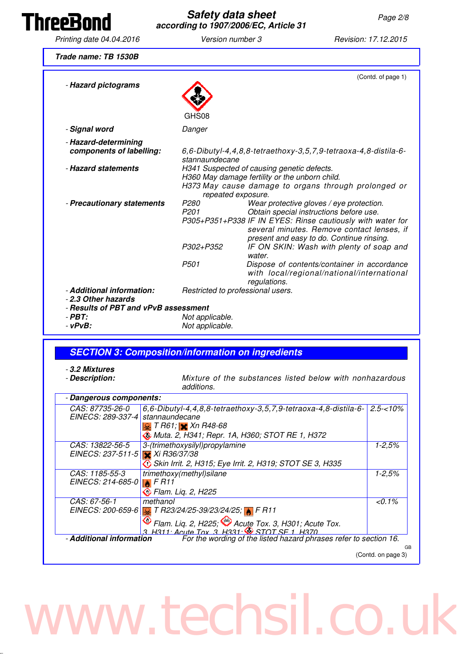Th

| <b>nreeBond</b>                                          | <b>Safety data sheet</b>             | according to 1907/2006/EC, Article 31                                                                              | Page 2/8                                                                                                                                                                                          |
|----------------------------------------------------------|--------------------------------------|--------------------------------------------------------------------------------------------------------------------|---------------------------------------------------------------------------------------------------------------------------------------------------------------------------------------------------|
| Printing date 04.04.2016                                 | Version number 3                     |                                                                                                                    | Revision: 17.12.2015                                                                                                                                                                              |
| Trade name: TB 1530B                                     |                                      |                                                                                                                    |                                                                                                                                                                                                   |
| - Hazard pictograms                                      |                                      |                                                                                                                    | (Contd. of page 1)                                                                                                                                                                                |
|                                                          | GHS08                                |                                                                                                                    |                                                                                                                                                                                                   |
| - Signal word                                            | Danger                               |                                                                                                                    |                                                                                                                                                                                                   |
| - Hazard-determining<br>components of labelling:         | stannaundecane                       |                                                                                                                    | $6, 6$ -Dibutyl-4,4,8,8-tetraethoxy-3,5,7,9-tetraoxa-4,8-distila-6-                                                                                                                               |
| - Hazard statements                                      |                                      | H341 Suspected of causing genetic defects.<br>H360 May damage fertility or the unborn child.<br>repeated exposure. | H373 May cause damage to organs through prolonged or                                                                                                                                              |
| - Precautionary statements                               | P <sub>280</sub><br>P <sub>201</sub> | Obtain special instructions before use.                                                                            | Wear protective gloves / eye protection.<br>P305+P351+P338 IF IN EYES: Rinse cautiously with water for<br>several minutes. Remove contact lenses, if<br>present and easy to do. Continue rinsing. |
|                                                          | P302+P352                            |                                                                                                                    | IF ON SKIN: Wash with plenty of soap and                                                                                                                                                          |
|                                                          | P <sub>501</sub>                     | water.<br>regulations.                                                                                             | Dispose of contents/container in accordance<br>with local/regional/national/international                                                                                                         |
| - Additional information:<br>- 2.3 Other hazards         |                                      | Restricted to professional users.                                                                                  |                                                                                                                                                                                                   |
| - Results of PBT and vPvB assessment<br>$-$ PBT:         |                                      |                                                                                                                    |                                                                                                                                                                                                   |
| $ vPvB$ :                                                | Not applicable.<br>Not applicable.   |                                                                                                                    |                                                                                                                                                                                                   |
|                                                          |                                      |                                                                                                                    |                                                                                                                                                                                                   |
| <b>SECTION 3: Composition/information on ingredients</b> |                                      |                                                                                                                    |                                                                                                                                                                                                   |
| - 3.2 Mixtures<br>- Description:                         | additions.                           |                                                                                                                    | Mixture of the substances listed below with nonhazardous                                                                                                                                          |

| <i>CAS: 87735-26-0</i>           | $6, 6$ -Dibutyl-4,4,8,8-tetraethoxy-3,5,7,9-tetraoxa-4,8-distila-6-       | $2.5 - 10\%$       |
|----------------------------------|---------------------------------------------------------------------------|--------------------|
| EINECS: 289-337-4                | stannaundecane                                                            |                    |
|                                  | $\mathbb{Q}$ T R61; $\times$ Xn R48-68                                    |                    |
|                                  | <b>Muta. 2, H341; Repr. 1A, H360; STOT RE 1, H372</b>                     |                    |
| CAS: 13822-56-5                  | 3-(trimethoxysilyl)propylamine                                            | $1 - 2,5%$         |
| EINECS: 237-511-5 $Xi$ R36/37/38 |                                                                           |                    |
|                                  | <b>S</b> Skin Irrit. 2, H315; Eye Irrit. 2, H319; STOT SE 3, H335         |                    |
| CAS: 1185-55-3                   | trimethoxy(methyl)silane                                                  | $1 - 2,5%$         |
| EINECS: 214-685-0                | F R11                                                                     |                    |
|                                  | $\overline{\textcircled{t}}$ Flam. Liq. 2, H225                           |                    |
| CAS: 67-56-1                     | methanol                                                                  | $< 0.1\%$          |
|                                  | EINECS: 200-659-6 <b>3.</b> T R23/24/25-39/23/24/25; <b>A</b> F R11       |                    |
|                                  | <b>O</b> Flam. Liq. 2, H225;<br>3 H311: Acute Tox. 3 H331: STOT SF 1 H370 |                    |
|                                  |                                                                           |                    |
| - Additional information         | For the wording of the listed hazard phrases refer to section 16.         |                    |
|                                  |                                                                           | GB                 |
|                                  |                                                                           | (Contd. on page 3) |

## www.techsil.co.uk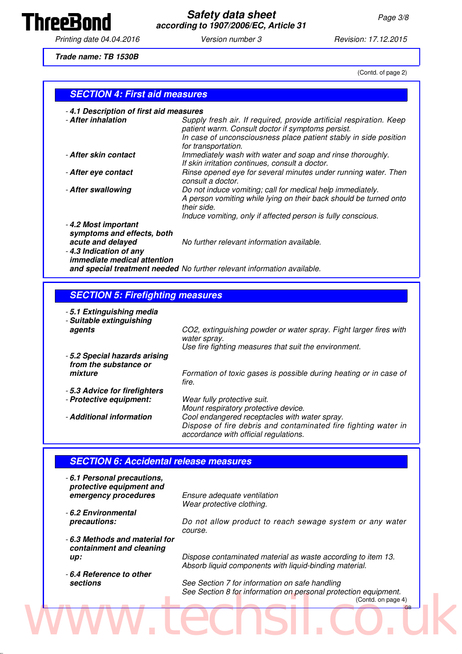

**Safety data sheet** Page 3/8 **according to 1907/2006/EC, Article 31**

Printing date 04.04.2016 **Version number 3** Revision: 17.12.2015

**Trade name: TB 1530B**

(Contd. of page 2)

#### **SECTION 4: First aid measures**

| -4.1 Description of first aid measures |  |  |
|----------------------------------------|--|--|
|----------------------------------------|--|--|

| - After inhalation                                                                               | Supply fresh air. If required, provide artificial respiration. Keep<br>patient warm. Consult doctor if symptoms persist.                                                                                       |
|--------------------------------------------------------------------------------------------------|----------------------------------------------------------------------------------------------------------------------------------------------------------------------------------------------------------------|
|                                                                                                  | In case of unconsciousness place patient stably in side position<br>for transportation.                                                                                                                        |
| - After skin contact                                                                             | Immediately wash with water and soap and rinse thoroughly.<br>If skin irritation continues, consult a doctor.                                                                                                  |
| - After eye contact                                                                              | Rinse opened eye for several minutes under running water. Then<br>consult a doctor.                                                                                                                            |
| - After swallowing                                                                               | Do not induce vomiting; call for medical help immediately.<br>A person vomiting while lying on their back should be turned onto<br>their side.<br>Induce vomiting, only if affected person is fully conscious. |
| -4.2 Most important<br>symptoms and effects, both<br>acute and delayed<br>-4.3 Indication of any | No further relevant information available.                                                                                                                                                                     |

- **4.3 Indication of any immediate medical attention and special treatment needed** No further relevant information available.

#### **SECTION 5: Firefighting measures**

| - 5.1 Extinguishing media<br>- Suitable extinguishing  |                                                                                                         |
|--------------------------------------------------------|---------------------------------------------------------------------------------------------------------|
| agents                                                 | CO2, extinguishing powder or water spray. Fight larger fires with<br>water spray.                       |
|                                                        | Use fire fighting measures that suit the environment.                                                   |
| - 5.2 Special hazards arising<br>from the substance or |                                                                                                         |
| mixture                                                | Formation of toxic gases is possible during heating or in case of<br>fire.                              |
| -5.3 Advice for firefighters                           |                                                                                                         |
| - Protective equipment:                                | Wear fully protective suit.<br>Mount respiratory protective device.                                     |
| - Additional information                               | Cool endangered receptacles with water spray.                                                           |
|                                                        | Dispose of fire debris and contaminated fire fighting water in<br>accordance with official regulations. |

#### **SECTION 6: Accidental release measures**

- **6.1 Personal precautions, protective equipment and emergency procedures** Ensure adequate ventilation

Wear protective clothing.

course.

- **6.2 Environmental**
- **6.3 Methods and material for containment and cleaning**
- **6.4 Reference to other**

**precautions:** Do not allow product to reach sewage system or any water

**up: Dispose contaminated material as waste according to item 13.** Absorb liquid components with liquid-binding material.

**sections** See Section 7 for information on safe handling See Section 8 for information on personal protection equipment. (Contd. on page 4) Www.techsil.co.uk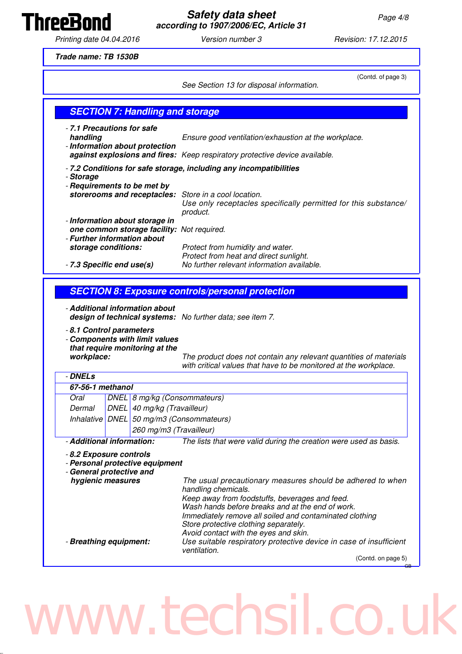

**Safety data sheet** Page 4/8 **according to 1907/2006/EC, Article 31**

Printing date 04.04.2016 **Version number 3** Revision: 17.12.2015

**ThreeBond** 

**Trade name: TB 1530B**

|                                                                          |                                                                              | (Contd. of page 3)<br>See Section 13 for disposal information.                                                                                                                                                                                                                                                                       |
|--------------------------------------------------------------------------|------------------------------------------------------------------------------|--------------------------------------------------------------------------------------------------------------------------------------------------------------------------------------------------------------------------------------------------------------------------------------------------------------------------------------|
|                                                                          | <b>SECTION 7: Handling and storage</b>                                       |                                                                                                                                                                                                                                                                                                                                      |
| - 7.1 Precautions for safe<br>handling                                   | - Information about protection                                               | Ensure good ventilation/exhaustion at the workplace.                                                                                                                                                                                                                                                                                 |
|                                                                          |                                                                              | against explosions and fires: Keep respiratory protective device available.                                                                                                                                                                                                                                                          |
|                                                                          |                                                                              | - 7.2 Conditions for safe storage, including any incompatibilities                                                                                                                                                                                                                                                                   |
| - Storage                                                                | - Requirements to be met by<br>storerooms and receptacles:                   | Store in a cool location.<br>Use only receptacles specifically permitted for this substance/<br>product.                                                                                                                                                                                                                             |
| - Further information about                                              | - Information about storage in<br>one common storage facility: Not required. |                                                                                                                                                                                                                                                                                                                                      |
| storage conditions:<br>- 7.3 Specific end use(s)                         |                                                                              | Protect from humidity and water.<br>Protect from heat and direct sunlight.<br>No further relevant information available.                                                                                                                                                                                                             |
|                                                                          |                                                                              |                                                                                                                                                                                                                                                                                                                                      |
|                                                                          | - Additional information about                                               | design of technical systems: No further data; see item 7.                                                                                                                                                                                                                                                                            |
| - 8.1 Control parameters<br>workplace:                                   | - Components with limit values<br>that require monitoring at the             | with critical values that have to be monitored at the workplace.                                                                                                                                                                                                                                                                     |
| - DNELs                                                                  |                                                                              |                                                                                                                                                                                                                                                                                                                                      |
| 67-56-1 methanol                                                         |                                                                              | The product does not contain any relevant quantities of materials                                                                                                                                                                                                                                                                    |
| Oral                                                                     | DNEL 8 mg/kg (Consommateurs)                                                 |                                                                                                                                                                                                                                                                                                                                      |
| Dermal                                                                   | DNEL 40 mg/kg (Travailleur)                                                  |                                                                                                                                                                                                                                                                                                                                      |
|                                                                          |                                                                              | Inhalative DNEL 50 mg/m3 (Consommateurs)                                                                                                                                                                                                                                                                                             |
| - Additional information:                                                | 260 mg/m3 (Travailleur)                                                      | The lists that were valid during the creation were used as basis.                                                                                                                                                                                                                                                                    |
| - 8.2 Exposure controls<br>- General protective and<br>hygienic measures | - Personal protective equipment                                              | The usual precautionary measures should be adhered to when<br>handling chemicals.<br>Keep away from foodstuffs, beverages and feed.<br>Wash hands before breaks and at the end of work.<br>Immediately remove all soiled and contaminated clothing<br>Store protective clothing separately.<br>Avoid contact with the eyes and skin. |
| - Breathing equipment:                                                   |                                                                              | Use suitable respiratory protective device in case of insufficient<br>ventilation.<br>(Contd. on page 5)                                                                                                                                                                                                                             |

### www.techsil.co.uk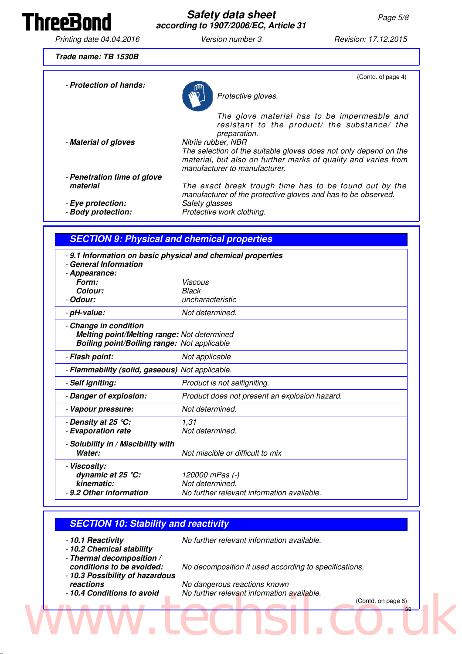### ThreeBond

#### **Safety data sheet** Page 5/8 **according to 1907/2006/EC, Article 31**

Printing date 04.04.2016 **Version number 3** Revision: 17.12.2015

**Trade name: TB 1530B**

- **Protection of hands:** Protective gloves. (Contd. of page 4) The glove material has to be impermeable and resistant to the product/ the substance/ the preparation.<br>Nitrile rubber, NBR - Material of gloves The selection of the suitable gloves does not only depend on the material, but also on further marks of quality and varies from manufacturer to manufacturer. - **Penetration time of glove material** The exact break trough time has to be found out by the manufacturer of the protective gloves and has to be observed. **Eye protection:** Safety glasses<br>**Body protection:** Protective work Protective work clothing.

#### **SECTION 9: Physical and chemical properties**

| -9.1 Information on basic physical and chemical properties<br>- General Information<br>- Appearance:<br>Form:<br>Colour:   | Viscous<br><b>Black</b>                                                          |
|----------------------------------------------------------------------------------------------------------------------------|----------------------------------------------------------------------------------|
| - Odour:                                                                                                                   | uncharacteristic                                                                 |
| - pH-value:                                                                                                                | Not determined.                                                                  |
| - Change in condition<br>Melting point/Melting range: Not determined<br><b>Boiling point/Boiling range: Not applicable</b> |                                                                                  |
| - Flash point:                                                                                                             | Not applicable                                                                   |
| - Flammability (solid, gaseous) Not applicable.                                                                            |                                                                                  |
| - Self igniting:                                                                                                           | Product is not selfigniting.                                                     |
| - Danger of explosion:                                                                                                     | Product does not present an explosion hazard.                                    |
| - Vapour pressure:                                                                                                         | Not determined.                                                                  |
| - Density at 25 °C:<br>- Evaporation rate                                                                                  | 1,31<br>Not determined.                                                          |
| - Solubility in / Miscibility with<br>Water:                                                                               | Not miscible or difficult to mix                                                 |
| - Viscosity:<br>dynamic at 25 $°C$ :<br>kinematic:<br>- 9.2 Other information                                              | 120000 mPas (-)<br>Not determined.<br>No further relevant information available. |

#### **SECTION 10: Stability and reactivity**

- **10.1 Reactivity** No further relevant information available.
- **10.2 Chemical stability**
- **Thermal decomposition /**
- 
- **10.3 Possibility of hazardous**
- 

**conditions to be avoided:** No decomposition if used according to specifications.

**reactions**<br>**Roactions** *to avoid* No further relevant information and **Conditions to avoid** No further relevant information No further relevant information available.

(Contd. on page 6) WWW.techsi.co.uk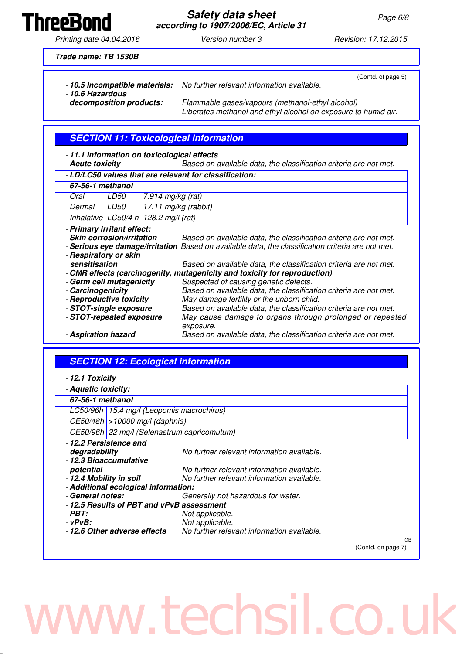**Safety data sheet** Page 6/8 **according to 1907/2006/EC, Article 31**

Printing date 04.04.2016 **Version number 3** Revision: 17.12.2015

**ThreeBond** 

**Trade name: TB 1530B**

- **10.5 Incompatible materials:** No further relevant information available. - **10.6 Hazardous** (Contd. of page 5) **decomposition products:** Flammable gases/vapours (methanol-ethyl alcohol)

Liberates methanol and ethyl alcohol on exposure to humid air.

#### **SECTION 11: Toxicological information**

- **11.1 Information on toxicological effects**
- **Acute toxicity** Based on available data, the classification criteria are not met.

#### - **LD/LC50 values that are relevant for classification:**

| 67-56-1 methanol |      |                                          |  |
|------------------|------|------------------------------------------|--|
| Oral             | LD50 | $ 7.914 \text{ mg/kg}$ (rat)             |  |
| Dermal           | LD50 | $17.11$ mg/kg (rabbit)                   |  |
|                  |      | Inhalative $ LC50/4 h $ 128.2 mg/l (rat) |  |

- **Primary irritant effect:**

- **Skin corrosion/irritation** Based on available data, the classification criteria are not met.
- **Serious eye damage/irritation** Based on available data, the classification criteria are not met.
- **Respiratory or skin** Based on available data, the classification criteria are not met. - **CMR effects (carcinogenity, mutagenicity and toxicity for reproduction)** Suspected of causing genetic defects. - **Carcinogenicity** Based on available data, the classification criteria are not met. - **Reproductive toxicity** May damage fertility or the unborn child.
- **STOT-single exposure** Based on available data, the classification criteria are not met. - **STOT-repeated exposure** May cause damage to organs through prolonged or repeated exposure.
- **Aspiration hazard Based on available data, the classification criteria are not met.**

#### **SECTION 12: Ecological information**

|  |  | - 12.1 Toxicity |
|--|--|-----------------|
|  |  |                 |

| .                                                                                             |                                                                                          |                    |  |
|-----------------------------------------------------------------------------------------------|------------------------------------------------------------------------------------------|--------------------|--|
| - Aquatic toxicity:                                                                           |                                                                                          |                    |  |
| 67-56-1 methanol                                                                              |                                                                                          |                    |  |
|                                                                                               | LC50/96h   15.4 mg/l (Leopomis macrochirus)                                              |                    |  |
| $CE50/48h$ > 10000 mg/l (daphnia)                                                             |                                                                                          |                    |  |
| CE50/96h 22 mg/l (Selenastrum capricomutum)                                                   |                                                                                          |                    |  |
| - 12.2 Persistence and<br>degradability<br>- 12.3 Bioaccumulative                             | No further relevant information available.                                               |                    |  |
| potential<br>- 12.4 Mobility in soil                                                          | No further relevant information available.<br>No further relevant information available. |                    |  |
| - Additional ecological information:                                                          |                                                                                          |                    |  |
| - General notes:                                                                              | Generally not hazardous for water.                                                       |                    |  |
| - 12.5 Results of PBT and vPvB assessment<br>- PBT:<br>- vPvB:<br>-12.6 Other adverse effects | Not applicable.<br>Not applicable.<br>No further relevant information available.         |                    |  |
|                                                                                               |                                                                                          | <b>GB</b>          |  |
|                                                                                               |                                                                                          | (Contd. on page 7) |  |

# ww.techsil.co.u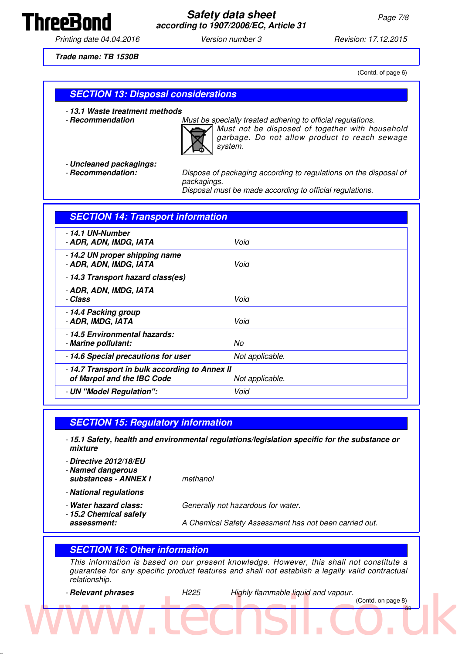

Printing date 04.04.2016 **Version number 3** Revision: 17.12.2015

**Trade name: TB 1530B**

(Contd. of page 6)

#### **SECTION 13: Disposal considerations**

- **13.1 Waste treatment methods**

- **Recommendation** Must be specially treated adhering to official regulations.



Must not be disposed of together with household garbage. Do not allow product to reach sewage system.

- **Uncleaned packagings:**

Dispose of packaging according to regulations on the disposal of packagings.

Disposal must be made according to official regulations.

| <b>SECTION 14: Transport information</b>                                     |                 |
|------------------------------------------------------------------------------|-----------------|
| - 14.1 UN-Number<br>- ADR, ADN, IMDG, IATA                                   | Void            |
| - 14.2 UN proper shipping name<br>- ADR, ADN, IMDG, IATA                     | Void            |
| - 14.3 Transport hazard class(es)                                            |                 |
| - ADR, ADN, IMDG, IATA<br>- Class                                            | Void            |
| - 14.4 Packing group<br>- ADR, IMDG, IATA                                    | Void            |
| - 14.5 Environmental hazards:<br>- Marine pollutant:                         | No              |
| - 14.6 Special precautions for user                                          | Not applicable. |
| - 14.7 Transport in bulk according to Annex II<br>of Marpol and the IBC Code | Not applicable. |
| - UN "Model Regulation":                                                     | Void            |

#### **SECTION 15: Regulatory information**

- **15.1 Safety, health and environmental regulations/legislation specific for the substance or mixture**
- **Directive 2012/18/EU** - **Named dangerous substances - ANNEX I** methanol - **National regulations** - **Water hazard class:** Generally not hazardous for water. - **15.2 Chemical safety**
- 
- **assessment:** A Chemical Safety Assessment has not been carried out.

#### **SECTION 16: Other information**

This information is based on our present knowledge. However, this shall not constitute a guarantee for any specific product features and shall not establish a legally valid contractual relationship.

- **Relevant phrases H225** Highly flammable liquid and vapour.

(Contd. on page 8) Www.techsil.co.uk